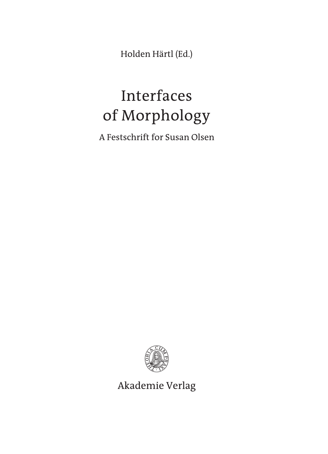Holden Härtl (Ed.)

# Interfaces of Morphology

A Festschrift for Susan Olsen



Akademie Verlag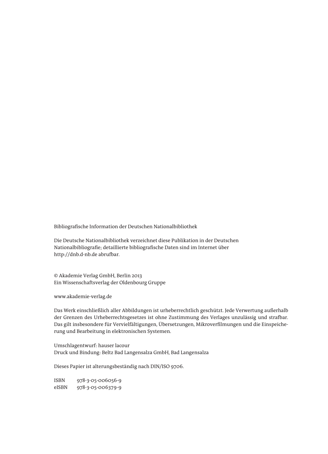Bibliografische Information der Deutschen Nationalbibliothek

Die Deutsche Nationalbibliothek verzeichnet diese Publikation in der Deutschen Nationalbibliografie; detaillierte bibliografische Daten sind im Internet über http://dnb.d-nb.de abrufbar.

© Akademie Verlag GmbH, Berlin 2013 Ein Wissenschaftsverlag der Oldenbourg Gruppe

www.akademie-verlag.de

Das Werk einschließlich aller Abbildungen ist urheberrechtlich geschützt. Jede Verwertung außerhalb der Grenzen des Urheberrechtsgesetzes ist ohne Zustimmung des Verlages unzulässig und strafbar. Das gilt insbesondere für Vervielfältigungen, Übersetzungen, Mikroverfilmungen und die Einspeicherung und Bearbeitung in elektronischen Systemen.

Umschlagentwurf: hauser lacour Druck und Bindung: Beltz Bad Langensalza GmbH, Bad Langensalza

Dieses Papier ist alterungsbeständig nach DIN/ISO 9706.

ISBN 978-3-05-006056-9 eISBN 978-3-05-006379-9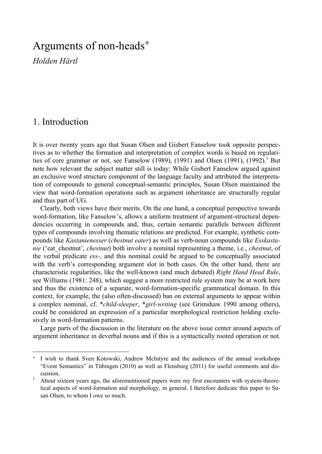# Arguments of non-heads∗

*Holden Härtl* 

## 1. Introduction

 $\overline{a}$ 

It is over twenty years ago that Susan Olsen and Gisbert Fanselow took opposite perspectives as to whether the formation and interpretation of complex words is based on regularities of core grammar or not, see Fanselow (1989), (1991) and Olsen (1991), (1992).<sup>1</sup> But note how relevant the subject matter still is today: While Gisbert Fanselow argued against an exclusive word structure component of the language faculty and attributed the interpretation of compounds to general conceptual-semantic principles, Susan Olsen maintained the view that word-formation operations such as argument inheritance are structurally regular and thus part of UG.

Clearly, both views have their merits. On the one hand, a conceptual perspective towards word-formation, like Fanselow's, allows a uniform treatment of argument-structural dependencies occurring in compounds and, thus, certain semantic parallels between different types of compounds involving thematic relations are predicted. For example, synthetic compounds like *Kastanienesser* (*chestnut eater*) as well as verb-noun compounds like *Esskastanie* ('eat\_chestnut', *chestnut*) both involve a nominal representing a theme, i.e., *chestnut*, of the verbal predicate *ess-*, and this nominal could be argued to be conceptually associated with the verb's corresponding argument slot in both cases. On the other hand, there are characteristic regularities, like the well-known (and much debated) *Right Hand Head Rule*, see Williams (1981: 248), which suggest a more restricted rule system may be at work here and thus the existence of a separate, word-formation-specific grammatical domain. In this context, for example, the (also often-discussed) ban on external arguments to appear within a complex nominal, cf. \**child-sleeper*, \**girl-writing* (see Grimshaw 1990 among others), could be considered an expression of a particular morphological restriction holding exclusively in word-formation patterns.

Large parts of the discussion in the literature on the above issue center around aspects of argument inheritance in deverbal nouns and if this is a syntactically rooted operation or not.

<sup>∗</sup> I wish to thank Sven Kotowski, Andrew McIntyre and the audiences of the annual workshops "Event Semantics" in Tübingen (2010) as well as Flensburg (2011) for useful comments and discussion.

About sixteen years ago, the aforementioned papers were my first encounters with system-theoretical aspects of word-formation and morphology, in general. I therefore dedicate this paper to Susan Olsen, to whom I owe so much.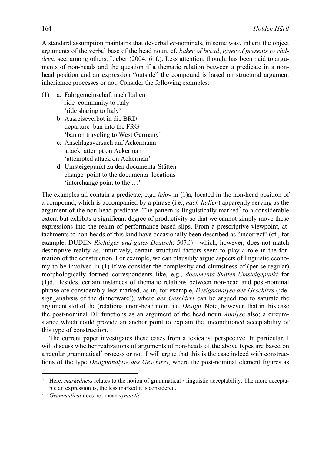A standard assumption maintains that deverbal *er*-nominals, in some way, inherit the object arguments of the verbal base of the head noun, cf. *baker of bread*, *giver of presents to children*, see, among others, Lieber (2004: 61f.). Less attention, though, has been paid to arguments of non-heads and the question if a thematic relation between a predicate in a nonhead position and an expression "outside" the compound is based on structural argument inheritance processes or not. Consider the following examples:

- (1) a. Fahrgemeinschaft nach Italien ride\_community to Italy 'ride sharing to Italy'
	- b. Ausreiseverbot in die BRD departure\_ban into the FRG 'ban on traveling to West Germany'
	- c. Anschlagsversuch auf Ackermann attack\_attempt on Ackerman 'attempted attack on Ackerman'
	- d. Umsteigepunkt zu den documenta-Stätten change point to the documenta locations 'interchange point to the …'

The examples all contain a predicate, e.g., *fahr*- in (1)a, located in the non-head position of a compound, which is accompanied by a phrase (i.e., *nach Italien*) apparently serving as the argument of the non-head predicate. The pattern is linguistically marked<sup>2</sup> to a considerable extent but exhibits a significant degree of productivity so that we cannot simply move these expressions into the realm of performance-based slips. From a prescriptive viewpoint, attachments to non-heads of this kind have occasionally been described as "incorrect" (cf., for example, DUDEN *Richtiges und gutes Deutsch*: 507f.)—which, however, does not match descriptive reality as, intuitively, certain structural factors seem to play a role in the formation of the construction. For example, we can plausibly argue aspects of linguistic economy to be involved in (1) if we consider the complexity and clumsiness of (per se regular) morphologically formed correspondents like, e.g., *documenta-Stätten-Umsteigepunkt* for (1)d. Besides, certain instances of thematic relations between non-head and post-nominal phrase are considerably less marked, as in, for example, *Designanalyse des Geschirrs* ('design\_analysis of the dinnerware'), where *des Geschirrs* can be argued too to saturate the argument slot of the (relational) non-head noun, i.e. *Design.* Note, however, that in this case the post-nominal DP functions as an argument of the head noun *Analyse* also; a circumstance which could provide an anchor point to explain the unconditioned acceptability of this type of construction.

The current paper investigates these cases from a lexicalist perspective. In particular, I will discuss whether realizations of arguments of non-heads of the above types are based on a regular grammatical<sup>3</sup> process or not. I will argue that this is the case indeed with constructions of the type *Designanalyse des Geschirrs*, where the post-nominal element figures as

<sup>&</sup>lt;sup>2</sup> Here, *markedness* relates to the notion of grammatical / linguistic acceptability. The more acceptable an expression is, the less marked it is considered.<br>3 Grammatical does not mean syntactic

*Grammatical* does not mean *syntactic*.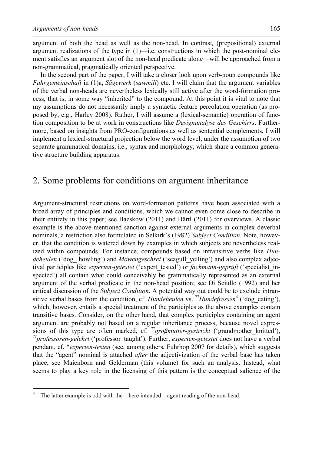$\overline{a}$ 

argument of both the head as well as the non-head. In contrast*,* (prepositional) external argument realizations of the type in (1)—i.e. constructions in which the post-nominal element satisfies an argument slot of the non-head predicate alone—will be approached from a non-grammatical, pragmatically oriented perspective.

In the second part of the paper, I will take a closer look upon verb-noun compounds like *Fahrgemeinschaft* in (1)a, *Sägewerk* (*sawmill*) etc. I will claim that the argument variables of the verbal non-heads are nevertheless lexically still active after the word-formation process, that is, in some way "inherited" to the compound. At this point it is vital to note that my assumptions do not necessarily imply a syntactic feature percolation operation (as proposed by, e.g., Harley 2008). Rather, I will assume a (lexical-semantic) operation of function composition to be at work in constructions like *Designanalyse des Geschirrs*. Furthermore, based on insights from PRO-configurations as well as sentential complements, I will implement a lexical-structural projection below the word level, under the assumption of two separate grammatical domains, i.e., syntax and morphology, which share a common generative structure building apparatus.

#### 2. Some problems for conditions on argument inheritance

Argument-structural restrictions on word-formation patterns have been associated with a broad array of principles and conditions, which we cannot even come close to describe in their entirety in this paper; see Baeskow (2011) and Härtl (2011) for overviews. A classic example is the above-mentioned sanction against external arguments in complex deverbal nominals, a restriction also formulated in Selkirk's (1982) *Subject Condition*. Note, however, that the condition is watered down by examples in which subjects are nevertheless realized within compounds. For instance, compounds based on intransitive verbs like *Hundeheulen* ('dog\_ howling') and *Möwengeschrei* ('seagull\_yelling') and also complex adjectival participles like *experten-getestet* ('expert\_tested') or *fachmann-geprüft* ('specialist\_inspected') all contain what could conceivably be grammatically represented as an external argument of the verbal predicate in the non-head position; see Di Sciullo (1992) and her critical discussion of the *Subject Condition*. A potential way out could be to exclude intransitive verbal bases from the condition, cf. *Hundeheulen* vs. <sup>??</sup>*Hundefressen*<sup>4</sup> ('dog\_eating'), which, however, entails a special treatment of the participles as the above examples contain transitive bases. Consider, on the other hand, that complex participles containing an agent argument are probably not based on a regular inheritance process, because novel expressions of this type are often marked, cf. <sup>??</sup>*großmutter-gestrickt* ('grandmother\_knitted'), ??*professoren-gelehrt* ('professor taught'). Further, *experten-getestet* does not have a verbal pendant, cf. \**experten-testen* (see, among others, Fuhrhop 2007 for details), which suggests that the "agent" nominal is attached *after* the adjectivization of the verbal base has taken place; see Maienborn and Gelderman (this volume) for such an analysis. Instead, what seems to play a key role in the licensing of this pattern is the conceptual salience of the

<sup>4</sup> The latter example is odd with the—here intended—agent reading of the non-head.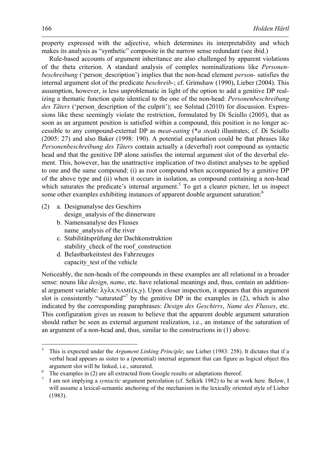property expressed with the adjective, which determines its interpretability and which makes its analysis as "synthetic" composite in the narrow sense redundant (see ibid.)

Rule-based accounts of argument inheritance are also challenged by apparent violations of the theta criterion. A standard analysis of complex nominalizations like *Personenbeschreibung* ('person\_description') implies that the non-head element *person-* satisfies the internal argument slot of the predicate *beschreib*-; cf. Grimshaw (1990), Lieber (2004). This assumption, however, is less unproblematic in light of the option to add a genitive DP realizing a thematic function quite identical to the one of the non-head: *Personenbeschreibung*  des Täters ('person description of the culprit'); see Solstad (2010) for discussion. Expressions like these seemingly violate the restriction, formulated by Di Sciullo (2005), that as soon as an argument position is satisfied within a compound, this position is no longer accessible to any compound-external DP as *meat-eating* (\**a steak*) illustrates; cf. Di Sciullo (2005: 27) and also Baker (1998: 190). A potential explanation could be that phrases like *Personenbeschreibung des Täters* contain actually a (deverbal) root compound as syntactic head and that the genitive DP alone satisfies the internal argument slot of the deverbal element. This, however, has the unattractive implication of two distinct analyses to be applied to one and the same compound: (i) as root compound when accompanied by a genitive DP of the above type and (ii) when it occurs in isolation, as compound containing a non-head which saturates the predicate's internal argument.<sup>5</sup> To get a clearer picture, let us inspect some other examples exhibiting instances of apparent double argument saturation:<sup>6</sup>

- (2) a. Designanalyse des Geschirrs design analysis of the dinnerware
	- b. Namensanalyse des Flusses name\_analysis of the river
	- c. Stabilitätsprüfung der Dachkonstruktion stability\_check of the roof\_construction
	- d. Belastbarkeitstest des Fahrzeuges capacity\_test of the vehicle

Noticeably, the non-heads of the compounds in these examples are all relational in a broader sense: nouns like *design*, *name*, etc. have relational meanings and, thus, contain an additional argument variable:  $\lambda y \lambda x \Delta M E(x,y)$ . Upon closer inspection, it appears that this argument slot is consistently "saturated"<sup>7</sup> by the genitive DP in the examples in  $(2)$ , which is also indicated by the corresponding paraphrases: *Design des Geschirrs*, *Name des Flusses*, etc. This configuration gives us reason to believe that the apparent double argument saturation should rather be seen as external argument realization, i.e., an instance of the saturation of an argument of a non-head and, thus, similar to the constructions in (1) above.

 5 This is expected under the *Argument Linking Principle*; see Lieber (1983: 258). It dictates that if a verbal head appears as sister to a (potential) internal argument that can figure as logical object this argument slot will be linked, i.e., saturated.<br> $\frac{6}{2}$  The examples in (2) are all extracted from (

The examples in (2) are all extracted from Google results or adaptations thereof.

I am not implying a *syntactic* argument percolation (cf. Selkirk 1982) to be at work here. Below, I will assume a lexical-semantic anchoring of the mechanism in the lexically oriented style of Lieber (1983).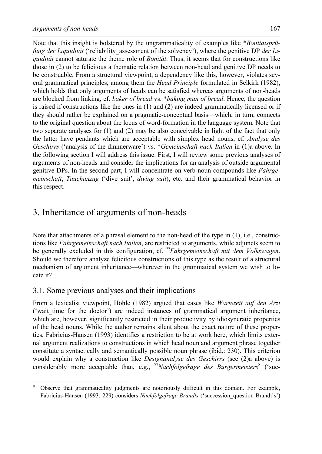Note that this insight is bolstered by the ungrammaticality of examples like \**Bonitatsprüfung der Liquidität* ('reliability\_assessment of the solvency'), where the genitive DP *der Liquidität* cannot saturate the theme role of *Bonität*. Thus, it seems that for constructions like those in (2) to be felicitous a thematic relation between non-head and genitive DP needs to be construable. From a structural viewpoint, a dependency like this, however, violates several grammatical principles, among them the *Head Principle* formulated in Selkirk (1982), which holds that only arguments of heads can be satisfied whereas arguments of non-heads are blocked from linking, cf. *baker of bread* vs. \**baking man of bread*. Hence, the question is raised if constructions like the ones in (1) and (2) are indeed grammatically licensed or if they should rather be explained on a pragmatic-conceptual basis—which, in turn, connects to the original question about the locus of word-formation in the language system. Note that two separate analyses for (1) and (2) may be also conceivable in light of the fact that only the latter have pendants which are acceptable with simplex head nouns, cf. *Analyse des Geschirrs* ('analysis of the dinnnerware') vs. \**Gemeinschaft nach Italien* in (1)a above. In the following section I will address this issue. First, I will review some previous analyses of arguments of non-heads and consider the implications for an analysis of outside argumental genitive DPs. In the second part, I will concentrate on verb-noun compounds like *Fahrgemeinschaft*, *Tauchanzug* ('dive\_suit', *diving suit*), etc. and their grammatical behavior in this respect.

## 3. Inheritance of arguments of non-heads

Note that attachments of a phrasal element to the non-head of the type in (1), i.e., constructions like *Fahrgemeinschaft nach Italien*, are restricted to arguments, while adjuncts seem to be generally excluded in this configuration, cf. ??*Fahrgemeinschaft mit dem Volkswagen*. Should we therefore analyze felicitous constructions of this type as the result of a structural mechanism of argument inheritance—wherever in the grammatical system we wish to locate it?

#### 3.1. Some previous analyses and their implications

 $\overline{a}$ 

From a lexicalist viewpoint, Höhle (1982) argued that cases like *Wartezeit auf den Arzt* ('wait time for the doctor') are indeed instances of grammatical argument inheritance, which are, however, significantly restricted in their productivity by idiosyncratic properties of the head nouns. While the author remains silent about the exact nature of these properties, Fabricius-Hansen (1993) identifies a restriction to be at work here, which limits external argument realizations to constructions in which head noun and argument phrase together constitute a syntactically and semantically possible noun phrase (ibid.: 230). This criterion would explain why a construction like *Designanalyse des Geschirrs* (see (2)a above) is considerably more acceptable than, e.g., <sup>??</sup>*Nachfolgefrage des Bürgermeisters*<sup>8</sup> ('suc-

<sup>8</sup> Observe that grammaticality judgments are notoriously difficult in this domain. For example, Fabricius-Hansen (1993: 229) considers *Nachfolgefrage Brandts* ('succession\_question Brandt's')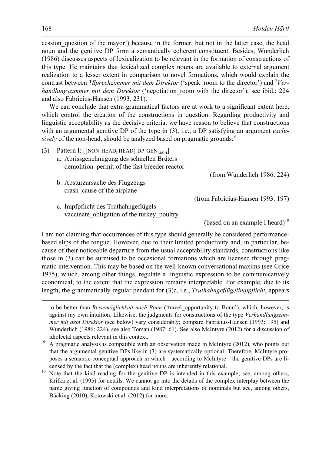cession\_question of the mayor') because in the former, but not in the latter case, the head noun and the genitive DP form a semantically coherent constituent. Besides, Wunderlich (1986) discusses aspects of lexicalization to be relevant in the formation of constructions of this type. He maintains that lexicalized complex nouns are available to external argument realization to a lesser extent in comparison to novel formations, which would explain the contrast between \**Sprechzimmer mit dem Direktor* ('speak\_room to the director') and ? *Verhandlungszimmer mit dem Direktor* ('negotiation\_room with the director'); see ibid.: 224 and also Fabricius-Hansen (1993: 231).

We can conclude that extra-grammatical factors are at work to a significant extent here, which control the creation of the constructions in question. Regarding productivity and linguistic acceptability as the decisive criteria, we have reason to believe that constructions with an argumental genitive DP of the type in (3), i.e., a DP satisfying an argument *exclusively* of the non-head, should be analyzed based on pragmatic grounds:

- (3) Pattern I:  $\lceil \text{NON-HEAD} \rceil$  HEAD DP-GEN<sub>ARG-I</sub> a. Abrissgenehmigung des schnellen Brüters
	- demolition\_permit of the fast breeder reactor

(from Wunderlich 1986: 224)

b. Absturzursache des Flugzeugs crash\_cause of the airplane

- (from Fabricius-Hansen 1993: 197)
- c. Impfpflicht des Truthahngeflügels vaccinate obligation of the turkey poultry

(based on an example I heard)<sup>10</sup>

I am not claiming that occurrences of this type should generally be considered performancebased slips of the tongue. However, due to their limited productivity and, in particular, because of their noticeable departure from the usual acceptability standards, constructions like those in (3) can be surmised to be occasional formations which are licensed through pragmatic intervention. This may be based on the well-known conversational maxims (see Grice 1975), which, among other things, regulate a linguistic expression to be communicatively economical, to the extent that the expression remains interpretable. For example, due to its length, the grammatically regular pendant for (3)c, i.e., *Truthahngeflügelimppflicht*, appears

to be better than *Reisemöglichkeit nach Bonn* ('travel\_opportunity to Bonn'), which, however, is against my own intuition. Likewise, the judgments for constructions of the type *Verhandlungszimmer mit dem Direktor* (see below) vary considerably; compare Fabricius-Hansen (1993: 195) and Wunderlich (1986: 224), see also Toman (1987: 61). See also McIntyre (2012) for a discussion of idiolectal aspects relevant in this context.<br><sup>9</sup> A pragmatic analysis is compatible with

l

A pragmatic analysis is compatible with an observation made in McIntyre (2012), who points out that the argumental genitive DPs like in (3) are systematically optional. Therefore, McIntyre proposes a semantic-conceptual approach in which—according to McIntyre—the genitive DPs are licensed by the fact that the (complex) head nouns are inherently relational.<br>Note that the kind reading for the genitive DP is intended in this example; see, among others,

Krifka et al. (1995) for details. We cannot go into the details of the complex interplay between the name giving function of compounds and kind interpretations of nominals but see, among others, Bücking (2010), Kotowski et al. (2012) for more.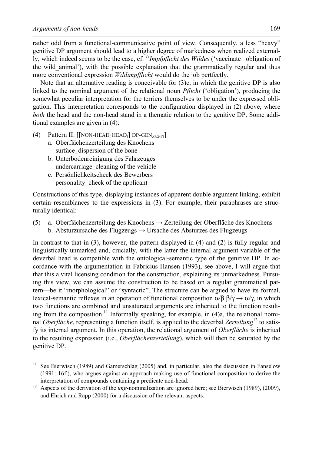$\overline{a}$ 

rather odd from a functional-communicative point of view. Consequently, a less "heavy" genitive DP argument should lead to a higher degree of markedness when realized externally, which indeed seems to be the case, cf. ??*Impfpflicht des Wildes* ('vaccinate\_ obligation of the wild\_animal'), with the possible explanation that the grammatically regular and thus more conventional expression *Wildimpfflicht* would do the job pertfectly.

Note that an alternative reading is conceivable for (3)c, in which the genitive DP is also linked to the nominal argument of the relational noun *Pflicht* ('obligation'), producing the somewhat peculiar interpretation for the terriers themselves to be under the expressed obligation. This interpretation corresponds to the configuration displayed in (2) above, where *both* the head and the non-head stand in a thematic relation to the genitive DP. Some additional examples are given in (4):

- (4) Pattern II:  $\left[\text{NON-HEAD}_I \text{ HEAD}_J\right] \text{DP-GEN}_{\text{ARG-1}/J}$ 
	- a. Oberflächenzerteilung des Knochens surface dispersion of the bone
	- b. Unterbodenreinigung des Fahrzeuges undercarriage\_cleaning of the vehicle
	- c. Persönlichkeitscheck des Bewerbers personality\_check of the applicant

Constructions of this type, displaying instances of apparent double argument linking, exhibit certain resemblances to the expressions in (3). For example, their paraphrases are structurally identical:

(5) a. Oberflächenzerteilung des Knochens  $\rightarrow$  Zerteilung der Oberfläche des Knochens b. Absturzursache des Flugzeugs → Ursache des Absturzes des Flugzeugs

In contrast to that in (3), however, the pattern displayed in (4) and (2) is fully regular and linguistically unmarked and, crucially, with the latter the internal argument variable of the deverbal head is compatible with the ontological-semantic type of the genitive DP. In accordance with the argumentation in Fabricius-Hansen (1993), see above, I will argue that that this a vital licensing condition for the construction, explaining its unmarkedness. Pursuing this view, we can assume the construction to be based on a regular grammatical pattern—be it "morphological" or "syntactic". The structure can be argued to have its formal, lexical-semantic reflexes in an operation of functional composition α/β β/γ → α/γ, in which two functions are combined and unsaturated arguments are inherited to the function resulting from the composition.<sup>11</sup> Informally speaking, for example, in  $(4)$ a, the relational nominal *Oberfläche*, representing a function itself, is applied to the deverbal *Zerteilung*<sup>12</sup> to satisfy its internal argument. In this operation, the relational argument of *Oberfläche* is inherited to the resulting expression (i.e., *Oberflächenzerteilung*), which will then be saturated by the genitive DP.

<sup>&</sup>lt;sup>11</sup> See Bierwisch (1989) and Gamerschlag (2005) and, in particular, also the discussion in Fanselow (1991: 16f.), who argues against an approach making use of functional composition to derive the interpretation of compounds containing a predicate non-head. 12 Aspects of the derivation of the *ung*-nominalization are ignored here; see Bierwisch (1989), (2009),

and Ehrich and Rapp (2000) for a discussion of the relevant aspects.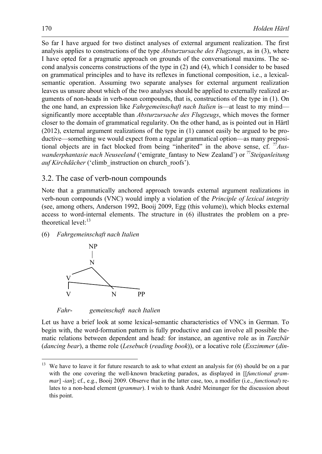So far I have argued for two distinct analyses of external argument realization. The first analysis applies to constructions of the type *Absturzursache des Flugzeugs*, as in (3), where I have opted for a pragmatic approach on grounds of the conversational maxims. The second analysis concerns constructions of the type in (2) and (4), which I consider to be based on grammatical principles and to have its reflexes in functional composition, i.e., a lexicalsemantic operation. Assuming two separate analyses for external argument realization leaves us unsure about which of the two analyses should be applied to externally realized arguments of non-heads in verb-noun compounds, that is, constructions of the type in (1). On the one hand, an expression like *Fahrgemeinschaft nach Italien* is—at least to my mind significantly more acceptable than *Absturzursache des Flugzeugs*, which moves the former closer to the domain of grammatical regularity. On the other hand, as is pointed out in Härtl (2012), external argument realizations of the type in (1) cannot easily be argued to be productive—something we would expect from a regular grammatical option—as many prepositional objects are in fact blocked from being "inherited" in the above sense, cf. ??*Auswanderphantasie nach Neuseeland* ('emigrate\_fantasy to New Zealand') or ??*Steiganleitung auf Kirchdächer* ('climb\_instruction on church\_roofs').

#### 3.2. The case of verb-noun compounds

Note that a grammatically anchored approach towards external argument realizations in verb-noun compounds (VNC) would imply a violation of the *Principle of lexical integrity* (see, among others, Anderson 1992, Booij 2009, Egg (this volume)), which blocks external access to word-internal elements. The structure in (6) illustrates the problem on a pretheoretical level: $13$ 

(6) *Fahrgemeinschaft nach Italien*



*Fahr*- *gemeinschaft nach Italien*

Let us have a brief look at some lexical-semantic characteristics of VNCs in German. To begin with, the word-formation pattern is fully productive and can involve all possible thematic relations between dependent and head: for instance, an agentive role as in *Tanzbär* (*dancing bear*), a theme role (*Lesebuch* (*reading book*)), or a locative role (*Esszimmer* (*din-*

l

<sup>&</sup>lt;sup>13</sup> We have to leave it for future research to ask to what extent an analysis for (6) should be on a par with the one covering the well-known bracketing paradox, as displayed in [[*functional grammar*] *-ian*]; cf., e.g., Booij 2009. Observe that in the latter case, too, a modifier (i.e., *functional*) relates to a non-head element (*grammar*). I wish to thank André Meinunger for the discussion about this point.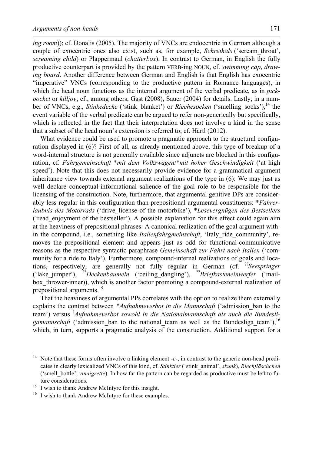*ing room*)); cf. Donalis (2005). The majority of VNCs are endocentric in German although a couple of exocentric ones also exist, such as, for example, *Schreihals* ('scream\_throat', *screaming child*) or Plappermaul (*chatterbox*). In contrast to German, in English the fully productive counterpart is provided by the pattern VERB-ing NOUN, cf. *swimming cap*, *drawing board*. Another difference between German and English is that English has exocentric "imperative" VNCs (corresponding to the productive pattern in Romance languages), in which the head noun functions as the internal argument of the verbal predicate, as in *pickpocket* or *killjoy*; cf., among others, Gast (2008), Sauer (2004) for details. Lastly, in a number of VNCs, e.g., *Stinkedecke* ('stink\_blanket') or *Riechesocken* ('smelling\_socks'),14 the event variable of the verbal predicate can be argued to refer non-generically but specifically, which is reflected in the fact that their interpretation does not involve a kind in the sense that a subset of the head noun's extension is referred to; cf. Härtl (2012).

What evidence could be used to promote a pragmatic approach to the structural configuration displayed in (6)? First of all, as already mentioned above, this type of breakup of a word-internal structure is not generally available since adjuncts are blocked in this configuration, cf. *Fahrgemeinschaft* \**mit dem Volkswagen*/\**mit hoher Geschwindigkeit* ('at high speed'). Note that this does not necessarily provide evidence for a grammatical argument inheritance view towards external argument realizations of the type in (6): We may just as well declare conceptual-informational salience of the goal role to be responsible for the licensing of the construction. Note, furthermore, that argumental genitive DPs are considerably less regular in this configuration than prepositional argumental constituents: \**Fahrerlaubnis des Motorrads* ('drive\_license of the motorbike'), \**Lesevergnügen des Bestsellers*  ('read\_enjoyment of the bestseller'). A possible explanation for this effect could again aim at the heaviness of prepositional phrases: A canonical realization of the goal argument within the compound, i.e., something like *Italienfahrgmeinschaft*, 'Italy ride community', removes the prepositional element and appears just as odd for functional-communicative reasons as the respective syntactic paraphrase *Gemeinschaft zur Fahrt nach Italien* ('community for a ride to Italy'). Furthermore, compound-internal realizations of goals and locations, respectively, are generally not fully regular in German (cf. ??*Seespringer* ('lake\_jumper'), ??*Deckenbaumeln* ('ceiling\_dangling'), ??*Briefkasteneinwerfer* ('mailbox thrower-inner)), which is another factor promoting a compound-external realization of prepositional arguments.15

That the heaviness of argumental PPs correlates with the option to realize them externally explains the contrast between *\*Aufnahmeverbot in die Mannschaft* ('admission\_ban to the team') versus ? *Aufnahmeverbot sowohl in die Nationalmannschaft als auch die Bundesligamannschaft* ('admission ban to the national team as well as the Bundesliga team'),<sup>16</sup> which, in turn, supports a pragmatic analysis of the construction. Additional support for a

 $14$ Note that these forms often involve a linking element -*e*-, in contrast to the generic non-head predicates in clearly lexicalized VNCs of this kind, cf. *Stinktier* ('stink\_animal', *skunk*), *Riechfläschchen* ('smell\_bottle', *vinaigrette*). In how far the pattern can be regarded as productive must be left to future considerations.<br><sup>15</sup> I wish to thank Andrew McIntyre for this insight.

<sup>&</sup>lt;sup>16</sup> I wish to thank Andrew McIntyre for these examples.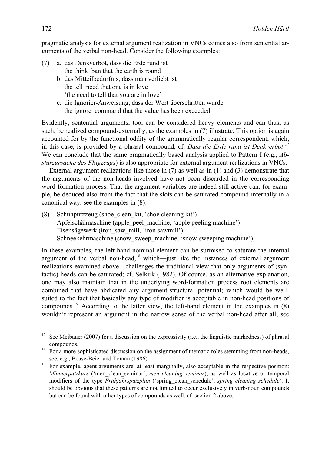pragmatic analysis for external argument realization in VNCs comes also from sentential arguments of the verbal non-head. Consider the following examples:

- (7) a. das Denkverbot, dass die Erde rund ist the think\_ban that the earth is round
	- b. das Mitteilbedürfnis, dass man verliebt ist the tell\_need that one is in love 'the need to tell that you are in love'
	- c. die Ignorier-Anweisung, dass der Wert überschritten wurde the ignore\_command that the value has been exceeded

Evidently, sentential arguments, too, can be considered heavy elements and can thus, as such, be realized compound-externally, as the examples in (7) illustrate. This option is again accounted for by the functional oddity of the grammatically regular correspondent, which, in this case, is provided by a phrasal compound, cf. *Dass-die-Erde-rund-ist-Denkverbot*. 17 We can conclude that the same pragmatically based analysis applied to Pattern I (e.g., *Absturzursache des Flugzeugs*) is also appropriate for external argument realizations in VNCs.

External argument realizations like those in (7) as well as in (1) and (3) demonstrate that the arguments of the non-heads involved have not been discarded in the corresponding word-formation process. That the argument variables are indeed still active can, for example, be deduced also from the fact that the slots can be saturated compound-internally in a canonical way, see the examples in (8):

(8) Schuhputzzeug (shoe\_clean\_kit, 'shoe cleaning kit') Apfelschälmaschine (apple\_peel\_machine, 'apple peeling machine') Eisensägewerk (iron\_saw\_mill, 'iron sawmill') Schneekehrmaschine (snow\_sweep\_machine, 'snow-sweeping machine')

In these examples, the left-hand nominal element can be surmised to saturate the internal argument of the verbal non-head, $18$  which—just like the instances of external argument realizations examined above—challenges the traditional view that only arguments of (syntactic) heads can be saturated; cf. Selkirk (1982). Of course, as an alternative explanation, one may also maintain that in the underlying word-formation process root elements are combined that have abdicated any argument-structural potential; which would be wellsuited to the fact that basically any type of modifier is acceptable in non-head positions of compounds.19 According to the latter view, the left-hand element in the examples in (8) wouldn't represent an argument in the narrow sense of the verbal non-head after all; see

-

 $17$  See Meibauer (2007) for a discussion on the expressivity (i.e., the linguistic markedness) of phrasal

compounds. 18 For a more sophisticated discussion on the assignment of thematic roles stemming from non-heads,

see, e.g., Boase-Beier and Toman (1986).<br><sup>19</sup> For example, agent arguments are, at least marginally, also acceptable in the respective position: *Männerputzkurs* ('men\_clean\_seminar', *men cleaning seminar*), as well as locative or temporal modifiers of the type *Frühjahrsputzplan* ('spring\_clean\_schedule', *spring cleaning schedule*). It should be obvious that these patterns are not limited to occur exclusively in verb-noun compounds but can be found with other types of compounds as well, cf. section 2 above.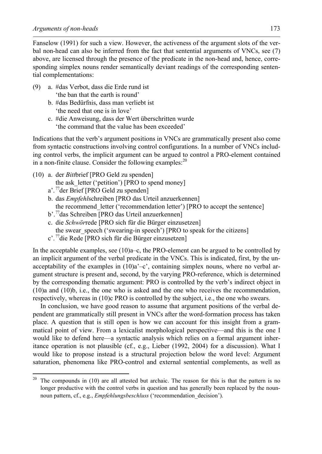Fanselow (1991) for such a view. However, the activeness of the argument slots of the verbal non-head can also be inferred from the fact that sentential arguments of VNCs, see (7) above, are licensed through the presence of the predicate in the non-head and, hence, corresponding simplex nouns render semantically deviant readings of the corresponding sentential complementations:

- (9) a. #das Verbot, dass die Erde rund ist 'the ban that the earth is round'
	- b. #das Bedürfnis, dass man verliebt ist 'the need that one is in love'
	- c. #die Anweisung, dass der Wert überschritten wurde 'the command that the value has been exceeded'

Indications that the verb's argument positions in VNCs are grammatically present also come from syntactic constructions involving control configurations. In a number of VNCs including control verbs, the implicit argument can be argued to control a PRO-element contained in a non-finite clause. Consider the following examples: $^{20}$ 

(10) a. der *Bitt*brief [PRO Geld zu spenden]

the ask\_letter ('petition') [PRO to spend money]

- a'. ??der Brief [PRO Geld zu spenden]
- b. das *Empfehl*schreiben [PRO das Urteil anzuerkennen] the recommend letter ('recommendation letter') [PRO to accept the sentence]
- b'. ??das Schreiben [PRO das Urteil anzuerkennen]
- c. die *Schwör*rede [PRO sich für die Bürger einzusetzen] the swear speech ('swearing-in speech') [PRO to speak for the citizens]
- c'. ??die Rede [PRO sich für die Bürger einzusetzen]

In the acceptable examples, see (10)a–c, the PRO-element can be argued to be controlled by an implicit argument of the verbal predicate in the VNCs. This is indicated, first, by the unacceptability of the examples in  $(10)a^2-c$ , containing simplex nouns, where no verbal argument structure is present and, second, by the varying PRO-reference, which is determined by the corresponding thematic argument: PRO is controlled by the verb's indirect object in (10)a and (10)b, i.e., the one who is asked and the one who receives the recommendation, respectively, whereas in (10)c PRO is controlled by the subject, i.e., the one who swears.

In conclusion, we have good reason to assume that argument positions of the verbal dependent are grammatically still present in VNCs after the word-formation process has taken place. A question that is still open is how we can account for this insight from a grammatical point of view. From a lexicalist morphological perspective—and this is the one I would like to defend here—a syntactic analysis which relies on a formal argument inheritance operation is not plausible (cf., e.g., Lieber (1992, 2004) for a discussion). What I would like to propose instead is a structural projection below the word level: Argument saturation, phenomena like PRO-control and external sentential complements, as well as

<sup>20</sup> The compounds in (10) are all attested but archaic. The reason for this is that the pattern is no longer productive with the control verbs in question and has generally been replaced by the nounnoun pattern, cf., e.g., *Empfehlungsbeschluss* ('recommendation\_decision').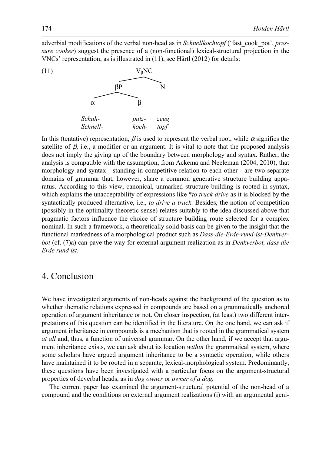adverbial modifications of the verbal non-head as in *Schnellkochtopf* ('fast\_cook\_pot', *pressure cooker*) suggest the presence of a (non-functional) lexical-structural projection in the VNCs' representation, as is illustrated in (11), see Härtl (2012) for details:



In this (tentative) representation,  $\beta$  is used to represent the verbal root, while  $\alpha$  signifies the satellite of  $\beta$ , i.e., a modifier or an argument. It is vital to note that the proposed analysis does not imply the giving up of the boundary between morphology and syntax. Rather, the analysis is compatible with the assumption, from Ackema and Neeleman (2004, 2010), that morphology and syntax—standing in competitive relation to each other—are two separate domains of grammar that, however, share a common generative structure building apparatus. According to this view, canonical, unmarked structure building is rooted in syntax, which explains the unacceptability of expressions like \**to truck-drive* as it is blocked by the syntactically produced alternative, i.e., *to drive a truck*. Besides, the notion of competition (possibly in the optimality-theoretic sense) relates suitably to the idea discussed above that pragmatic factors influence the choice of structure building route selected for a complex nominal. In such a framework, a theoretically solid basis can be given to the insight that the functional markedness of a morphological product such as *Dass-die-Erde-rund-ist-Denkverbot* (cf. (7)a) can pave the way for external argument realization as in *Denkverbot, dass die Erde rund ist*.

#### 4. Conclusion

We have investigated arguments of non-heads against the background of the question as to whether thematic relations expressed in compounds are based on a grammatically anchored operation of argument inheritance or not. On closer inspection, (at least) two different interpretations of this question can be identified in the literature. On the one hand, we can ask if argument inheritance in compounds is a mechanism that is rooted in the grammatical system *at all* and, thus, a function of universal grammar. On the other hand, if we accept that argument inheritance exists, we can ask about its location *within* the grammatical system, where some scholars have argued argument inheritance to be a syntactic operation, while others have maintained it to be rooted in a separate, lexical-morphological system. Predominantly, these questions have been investigated with a particular focus on the argument-structural properties of deverbal heads, as in *dog owner* or *owner of a dog.*

The current paper has examined the argument-structural potential of the non-head of a compound and the conditions on external argument realizations (i) with an argumental geni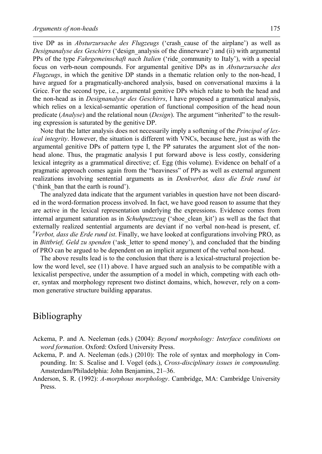tive DP as in *Absturzursache des Flugzeugs* ('crash\_cause of the airplane') as well as *Designanalyse des Geschirrs* ('design\_analysis of the dinnerware') and (ii) with argumental PPs of the type *Fahrgemeinschaft nach Italien* ('ride\_community to Italy'), with a special focus on verb-noun compounds. For argumental genitive DPs as in *Absturzursache des Flugzeugs*, in which the genitive DP stands in a thematic relation only to the non-head, I have argued for a pragmatically-anchored analysis, based on conversational maxims à la Grice. For the second type, i.e., argumental genitive DPs which relate to both the head and the non-head as in *Designanalyse des Geschirrs*, I have proposed a grammatical analysis, which relies on a lexical-semantic operation of functional composition of the head noun predicate (*Analyse*) and the relational noun (*Design*). The argument "inherited" to the resulting expression is saturated by the genitive DP.

Note that the latter analysis does not necessarily imply a softening of the *Principal of lexical integrity*. However, the situation is different with VNCs, because here, just as with the argumental genitive DPs of pattern type I, the PP saturates the argument slot of the nonhead alone. Thus, the pragmatic analysis I put forward above is less costly, considering lexical integrity as a grammatical directive; cf. Egg (this volume). Evidence on behalf of a pragmatic approach comes again from the "heaviness" of PPs as well as external argument realizations involving sentential arguments as in *Denkverbot, dass die Erde rund ist* ('think\_ban that the earth is round').

The analyzed data indicate that the argument variables in question have not been discarded in the word-formation process involved. In fact, we have good reason to assume that they are active in the lexical representation underlying the expressions. Evidence comes from internal argument saturation as in *Schuhputzzeug* ('shoe\_clean\_kit') as well as the fact that externally realized sentential arguments are deviant if no verbal non-head is present, cf. # *Verbot, dass die Erde rund ist*. Finally, we have looked at configurations involving PRO, as in *Bittbrief, Geld zu spenden* ('ask letter to spend money'), and concluded that the binding of PRO can be argued to be dependent on an implicit argument of the verbal non-head.

The above results lead is to the conclusion that there is a lexical-structural projection below the word level, see (11) above. I have argued such an analysis to be compatible with a lexicalist perspective, under the assumption of a model in which, competing with each other, syntax and morphology represent two distinct domains, which, however, rely on a common generative structure building apparatus.

#### Bibliography

- Ackema, P. and A. Neeleman (eds.) (2004): *Beyond morphology: Interface conditions on word formation*. Oxford: Oxford University Press.
- Ackema, P. and A. Neeleman (eds.) (2010): The role of syntax and morphology in Compounding. In: S. Scalise and I. Vogel (eds.), *Cross-disciplinary issues in compounding.*  Amsterdam/Philadelphia: John Benjamins, 21–36.
- Anderson, S. R. (1992): *A-morphous morphology*. Cambridge, MA: Cambridge University Press.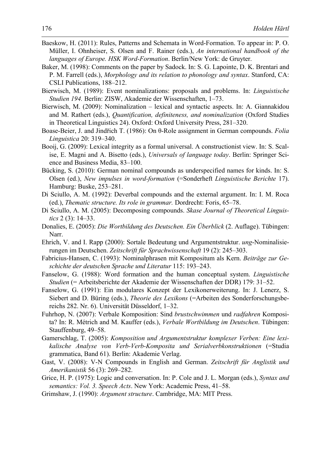- Baeskow, H. (2011): Rules, Patterns and Schemata in Word-Formation. To appear in: P. O. Müller, I. Ohnheiser, S. Olsen and F. Rainer (eds.), *An international handbook of the languages of Europe. HSK Word-Formation*. Berlin/New York: de Gruyter.
- Baker, M. (1998): Comments on the paper by Sadock. In: S. G. Lapointe, D. K. Brentari and P. M. Farrell (eds.), *Morphology and its relation to phonology and syntax*. Stanford, CA: CSLI Publications, 188–212.
- Bierwisch, M. (1989): Event nominalizations: proposals and problems. In: *Linguistische Studien 194.* Berlin: ZISW, Akademie der Wissenschaften, 1–73.
- Bierwisch, M. (2009): Nominalization lexical and syntactic aspects. In: A. Giannakidou and M. Rathert (eds.), *Quantification, definiteness, and nominalization* (Oxford Studies in Theoretical Linguistics 24). Oxford: Oxford University Press, 281–320.
- Boase-Beier, J. and Jindřich T. (1986): On θ-Role assignment in German compounds. *Folia Linguistica* 20: 319–340.
- Booij, G. (2009): Lexical integrity as a formal universal. A constructionist view. In: S. Scalise, E. Magni and A. Bisetto (eds.), *Universals of language today*. Berlin: Springer Science and Business Media, 83–100.
- Bücking, S. (2010): German nominal compounds as underspecified names for kinds. In: S. Olsen (ed.), *New impulses in word-formation* (=Sonderheft *Linguistische Berichte* 17). Hamburg: Buske, 253–281.
- Di Sciullo, A. M. (1992): Deverbal compounds and the external argument. In: I. M. Roca (ed.), *Thematic structure. Its role in grammar.* Dordrecht: Foris, 65–78.
- Di Sciullo, A. M. (2005): Decomposing compounds. *Skase Journal of Theoretical Linguistics* 2 (3): 14–33.
- Donalies, E. (2005): *Die Wortbildung des Deutschen. Ein Überblick* (2. Auflage). Tübingen: Narr.
- Ehrich, V. and I. Rapp (2000): Sortale Bedeutung und Argumentstruktur. *ung*-Nominalisierungen im Deutschen. *Zeitschrift für Sprachwissenschaft* 19 (2): 245–303.
- Fabricius-Hansen, C. (1993): Nominalphrasen mit Kompositum als Kern. *Beiträge zur Geschichte der deutschen Sprache und Literatur* 115: 193–243.
- Fanselow, G. (1988): Word formation and the human conceptual system. *Linguistische Studien* (= Arbeitsberichte der Akademie der Wissenschaften der DDR) 179: 31–52.
- Fanselow, G. (1991): Ein modulares Konzept der Lexikonerweiterung. In: J. Lenerz, S. Siebert and D. Büring (eds.), *Theorie des Lexikons* (=Arbeiten des Sonderforschungsbereichs 282. Nr. 6). Universität Düsseldorf, 1–32.
- Fuhrhop, N. (2007): Verbale Komposition: Sind *brustschwimmen* und *radfahren* Komposita? In: R. Métrich and M. Kauffer (eds.), *Verbale Wortbildung im Deutschen*. Tübingen: Stauffenburg, 49–58.
- Gamerschlag, T. (2005): *Komposition und Argumentstruktur komplexer Verben: Eine lexikalische Analyse von Verb-Verb-Komposita und Serialverbkonstruktionen* (=Studia grammatica, Band 61). Berlin: Akademie Verlag.
- Gast, V. (2008): V-N Compounds in English and German. *Zeitschrift für Anglistik und Amerikanistik* 56 (3): 269–282.
- Grice, H. P. (1975): Logic and conversation. In: P. Cole and J. L. Morgan (eds.), *Syntax and semantics: Vol. 3. Speech Acts*. New York: Academic Press, 41–58.
- Grimshaw, J. (1990): *Argument structure*. Cambridge, MA: MIT Press.